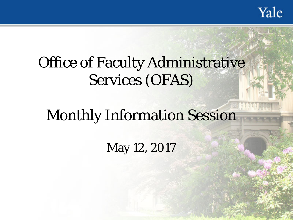Yale

# Office of Faculty Administrative Services (OFAS)

# Monthly Information Session

May 12, 2017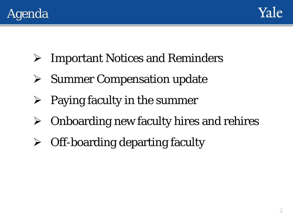



- Important Notices and Reminders
- $\triangleright$  Summer Compensation update
- $\triangleright$  Paying faculty in the summer
- $\triangleright$  Onboarding new faculty hires and rehires
- $\triangleright$  Off-boarding departing faculty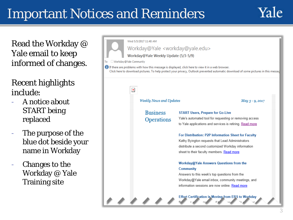### Important Notices and Reminders

To  $\bullet$ 



Read the Workday @ Yale email to keep informed of changes.

Recent highlights include:

- A notice about START being replaced
- The purpose of the blue dot beside your name in Workday
- Changes to the Workday @ Yale Training site

| Wed 5/3/2017 11:48 AM                              |                                                                                                                                                                                                                                          |  |  |  |  |
|----------------------------------------------------|------------------------------------------------------------------------------------------------------------------------------------------------------------------------------------------------------------------------------------------|--|--|--|--|
| Workday@Yale <workday@yale.edu></workday@yale.edu> |                                                                                                                                                                                                                                          |  |  |  |  |
| Workday@Yale Weekly Update (5/3-5/9)               |                                                                                                                                                                                                                                          |  |  |  |  |
| Workday@Yale Community                             |                                                                                                                                                                                                                                          |  |  |  |  |
|                                                    | If there are problems with how this message is displayed, click here to view it in a web browser.<br>Click here to download pictures. To help protect your privacy, Outlook prevented automatic download of some pictures in this messac |  |  |  |  |
| $\pmb{\times}$                                     |                                                                                                                                                                                                                                          |  |  |  |  |
| <b>Weekly News and Updates</b>                     | May 3 - 9, 2017                                                                                                                                                                                                                          |  |  |  |  |
| <b>Business</b>                                    | <b>START Users, Prepare for Go-Live</b>                                                                                                                                                                                                  |  |  |  |  |
|                                                    | Yale's automated tool for requesting or removing access                                                                                                                                                                                  |  |  |  |  |
|                                                    | to Yale applications and services is retiring. Read more                                                                                                                                                                                 |  |  |  |  |
|                                                    | For Distribution: P2P Information Sheet for Faculty                                                                                                                                                                                      |  |  |  |  |
|                                                    | Kathy Byington requests that Lead Administrators                                                                                                                                                                                         |  |  |  |  |
|                                                    | distribute a second customized Workday information                                                                                                                                                                                       |  |  |  |  |
|                                                    | sheet to their faculty members. Read more                                                                                                                                                                                                |  |  |  |  |
|                                                    | Workday@Yale Answers Questions from the                                                                                                                                                                                                  |  |  |  |  |
|                                                    | <b>Community</b>                                                                                                                                                                                                                         |  |  |  |  |
|                                                    | Answers to this week's top questions from the                                                                                                                                                                                            |  |  |  |  |
|                                                    | Workday@Yale email inbox, community meetings, and                                                                                                                                                                                        |  |  |  |  |
|                                                    | information sessions are now online. Read more                                                                                                                                                                                           |  |  |  |  |
|                                                    | <b>Effort Certification is Moving from ERS to Workday</b>                                                                                                                                                                                |  |  |  |  |
|                                                    | <b>Operations</b>                                                                                                                                                                                                                        |  |  |  |  |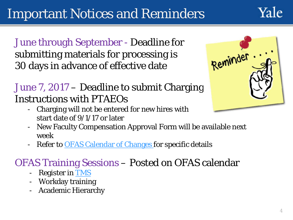## Important Notices and Reminders

Yale

June through September - Deadline for submitting materials for processing is 30 days in advance of effective date

### June 7, 2017 – Deadline to submit Charging Instructions with PTAEOs

- Reminder.
- Charging will not be entered for new hires with start date of 9/1/17 or later
- New Faculty Compensation Approval Form will be available next week
- Refer to [OFAS Calendar of Changes](http://facultyadmin.yale.edu/calendar-changes-summer-2017) for specific details

### OFAS Training Sessions – Posted on OFAS calendar

- Register in [TMS](https://bmsweb.med.yale.edu/tms/tms_enrollments.courses?owner=OFAS&category=OFAS&std_id=&category_id=983)
- Workday training
- Academic Hierarchy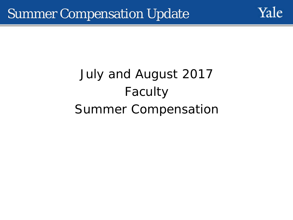

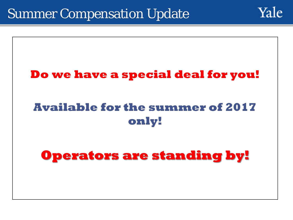

Yale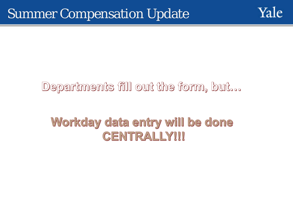

### Departments fill out the form, but...

### Workday data entry will be done CENTRALLY!!!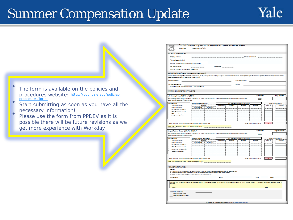

**July Amount** 

Amount

**August Amount** 

Amount

Must Complete Roth

Must Co lete Both

Alloc<sup>9</sup>

Alloc %

The form is available on the policies and [procedures website: https://your.yale.edu/policies](https://your.yale.edu/policies-procedures/forms)**procedures/forms** 

Start submitting as soon as you have all the necessary information!<br>
Please use the form from PPDFV as it is possible there will be future revisions as we get more experience with Workday

SUMMER COMPENSATION PAYMENTS July Activity Dates: 7/1/17 to 7/31/17 % of Ninth .<br>Note: Requests to approve summer salary made after the manth in which the effort was devoted are generally unallowable, and will anly be 0.00% aparaved under exceptional circumstances eriod Activity<sup>\*</sup> **JULY Costing Allocations** Not Needed If Runded From Gran AYA (Alumni Assoc.) **Runding** Cost Cent Project Assignee NH (NH-funded) Gr. Gr. GS. YD. Cost Shame mailette et et latiniei Other Semanard Awards SC-Summer Componsation Yeld Summer Session TOTAL (must equal 100%): n m<sup>sk</sup> Select only one. If any funding is NIH, you must check the NIH box FRMS ONLY: Review of Grant Allocation completed by: August Activity Dotes: 8/1/17 to 8/31/17 % of Ninth .<br>Note: Requests to approve summer solary made after the manth in which the effort was devoted are generally unallowable, and will only be 0.00% an or ou oil under concention of pincumate news. **AUGUST Costing Allocations** Period Activity<sup>\*</sup> Not Needed if Funded From Grant **Rinding** AYA (Alumni Assoc.) **Cost Canto** Program Project Assignee Not been Australia Gr. Gr. GS. YD **Cost-Share** Ola (Office of Indi Affairs) Other Sponsored Awards SC-Summer Componsation Yell: Summer Session Select only one. If any funding is NIH, you must check the NIH box TOTAL (must equal 100%): FRMS ONLY: Review of Grant Allocation completed by: **PREPARER IN FORMATION** .<br>All fines is a sposo-imposed selery anglieg. NRN, donal charge that sporsor in excess of the established enros<br>B. Sporsoad Research funding formare than 2.5 Stranegulnes suftorization from provad of los which must be att C. LSU or GA Andho neguhez sunnor enich must be affair .<br>Katalog 1941 - Martin California<br>Katalog 1945 Y THAT I AN RESPONSELE FOR ANY FUTURE LADDROI TRIREUTION CHANGES TOTHIS PAYMENT AND I WILL NOT CHANGE THE ALLOCATION RATIO BETWEEN DIFFERENT SOURCE Provost's Office Only: Workday Entry done

Yale University FACULTY SUMMER COMPENSATION FORM

Business Per tranfold advance and the responsible for the funding sources verifies funding is available and that a written request from the faculty mamber regarding the allocation of his/her summe

Dean (if required)

3501 FR.08 \_\_\_\_ Revision Date: 5/10/17

Workday Approval Done

UEF.

**EMPIOYEE INFORMATION Frankrupe Name:** Primary Academic Rank: Summer Compensation Supervisory Organization

**FTE Annual Salary** 

**Business Partner:** 

2nd Business Partner:

Reason: Summer Compensation Assignment AUTHORIZATIONS (plaase provide signature and date)

tompe radion à on file in the department business office.

Second Bus. Partner only needed if funding is from multiple units

Submit form and appropriate back-up to provostforms@yale.ed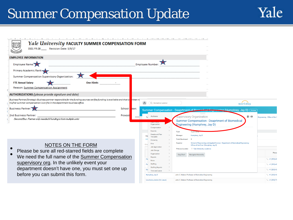

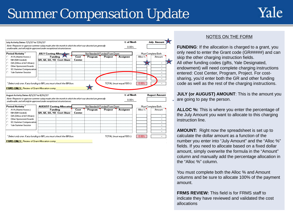

| Period Activity"                                                                                                                                                                                                                                                                                                                                                                   | <b>JULY Costing Allocations</b>       |                | Not Needed if Funded From Grant |         |                                                 |                | Must Complete Both   |
|------------------------------------------------------------------------------------------------------------------------------------------------------------------------------------------------------------------------------------------------------------------------------------------------------------------------------------------------------------------------------------|---------------------------------------|----------------|---------------------------------|---------|-------------------------------------------------|----------------|----------------------|
| AYA (Alumni Assoc.)<br>NIH (NIH-funded)<br>OIA (Office of Int'l Affairs)                                                                                                                                                                                                                                                                                                           | Funding<br>GR, GE, GS, YD: Cost-Share | Cost<br>Center | Program                         | Project | Assignee                                        | Alloc $\times$ | Amount               |
| Other Sponsored Awards<br>SC-Summer Compensation<br>Yale Summer Session                                                                                                                                                                                                                                                                                                            |                                       |                |                                 |         |                                                 |                |                      |
|                                                                                                                                                                                                                                                                                                                                                                                    |                                       |                |                                 |         |                                                 |                |                      |
|                                                                                                                                                                                                                                                                                                                                                                                    |                                       |                |                                 |         | TOTAL (must equal 100%):<br>% of Ninth<br>0.00% | 0.00%          | <b>August Amount</b> |
| " Select only one. If any funding is NIH, you must check the NIH box.<br><b>FRMS ONLY:</b> Review of Grant Allocation comp<br>August Activity Dates: 8/1/17 to 8/31/17<br>Note: Requests to approve summer salary made after the month in which the effort was devoted are generally<br>unallowable, and will only be approved under exceptional circumstances.<br>Period Activity | <b>AUGUST Costing Allocation</b>      |                | Not Needed if Funded From Grant |         |                                                 |                | Must Complete Both   |
| AYA (Alumni Assoc.)<br>NIH (NIH-funded)                                                                                                                                                                                                                                                                                                                                            | Fundina<br>GR, GE, GS, YD, Cost-Share | Cost<br>Center | Program                         | Project | Assianee                                        | Alloc $\times$ | Amount               |
| OIA (Office of Int'l Affairs)                                                                                                                                                                                                                                                                                                                                                      |                                       |                |                                 |         |                                                 |                |                      |
| Other Sponsored Awards<br>SC-Summer Compensation                                                                                                                                                                                                                                                                                                                                   |                                       |                |                                 |         |                                                 |                |                      |

### NOTES ON THE FORM

**FUNDING:** If the allocation is charged to a grant, you only need to enter the Grant code (GR#####) and can skip the other charging instruction fields. All other funding codes (gifts, Yale Designated, endowment) will need complete charging instructions entered: Cost Center, Program, Project. For costsharing, you'd enter both the GR and other funding code as well as the rest of the charging instructions.

**JULY (or AUGUST) AMOUNT:** This is the amount you are going to pay the person.

**ALLOC %:** This is where you enter the percentage of the July Amount you want to allocate to this charging instruction line.

**AMOUNT:** Right now the spreadsheet is set up to calculate the dollar amount as a function of the number you enter into "July Amount" and the "Alloc %" fields. If you need to allocate based on a fixed dollar amount, simply overwrite the formula in the "Amount" column and manually add the percentage allocation in the "Alloc %" column.

You must complete both the Alloc % and Amount columns and be sure to allocate 100% of the payment amount.

**FRMS REVIEW:** This field is for FRMS staff to indicate they have reviewed and validated the cost allocations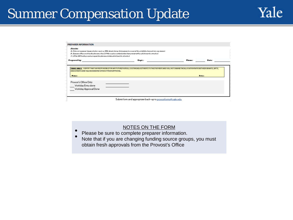| A. If there is asymptor impareds alony cap (e.g. NIH), do not charge that spaces in excuss of the established annuals ate cap amount.<br>G. LSUm GAF unding requirect up parting dacumentation which must be attached. | E. Spaniared Eurearch funding for more than 2.5 fthree quires authorization from provart office which must be attached.                                              |               |       |
|------------------------------------------------------------------------------------------------------------------------------------------------------------------------------------------------------------------------|----------------------------------------------------------------------------------------------------------------------------------------------------------------------|---------------|-------|
| Prepared by:                                                                                                                                                                                                           | Dept.:                                                                                                                                                               | <b>Phone:</b> | Date: |
|                                                                                                                                                                                                                        |                                                                                                                                                                      |               |       |
|                                                                                                                                                                                                                        |                                                                                                                                                                      |               |       |
|                                                                                                                                                                                                                        | FRMS ONLY: ICERTIFY THAT IAMRESPONSIBLE FOR ANY FUTURE PAYROLL COSTING ADJUSTMENTS TO THIS PAYMENT AND I WILL NOT CHANGE THE ALLOCATION RATIO BETWEEN GRANTS, GIFTS, |               |       |
| ENDOWMENTS AND YALE DESIGNATED WITHOUT PRIOR APPROVAL.<br><b>Home:</b>                                                                                                                                                 |                                                                                                                                                                      | Date:         |       |
|                                                                                                                                                                                                                        |                                                                                                                                                                      |               |       |
| Provost's Office Only:                                                                                                                                                                                                 |                                                                                                                                                                      |               |       |
| Workday Entry done                                                                                                                                                                                                     |                                                                                                                                                                      |               |       |

- NOTES ON THE FORM<br>Please be sure to complete preparer information.
- Note that if you are changing funding source groups, you must obtain fresh approvals from the Provost's Office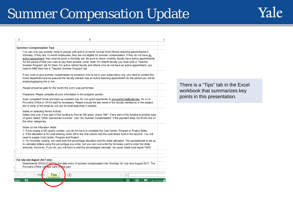Yale

| А    | в                                                                                                                                                                                                                                                                                                                                                                                                                                                                                                                                                                                                                                                                                          | c |
|------|--------------------------------------------------------------------------------------------------------------------------------------------------------------------------------------------------------------------------------------------------------------------------------------------------------------------------------------------------------------------------------------------------------------------------------------------------------------------------------------------------------------------------------------------------------------------------------------------------------------------------------------------------------------------------------------------|---|
|      | <b>Summer Compensation Tips</b>                                                                                                                                                                                                                                                                                                                                                                                                                                                                                                                                                                                                                                                            |   |
|      | You can only pay summer comp to people with active (9-month Annual Work Period) teaching appointments in<br>Workday, If they are 12-month employees, they are not eligible for summer compensation. If they do not have an<br>active appointment, they must be given a Workday job. Be sure to check whether faculty have active appointments<br>for the period of time you wish to pay them summer comp. Note: For emeriti faculty you must ADD a "Teacher<br>Summer Program" job for them. For active retired faculty and others who do not have an active appointment, you<br>need to HIRE them into a "Teacher Summer Program" job.                                                    |   |
|      | If you wish to give summer compensation to someone who is not in your supervisory org, you need to contact the<br>home department and be assured the faculty member has an active teaching appointment for the period you will be<br>employing/paying him or her.                                                                                                                                                                                                                                                                                                                                                                                                                          |   |
|      | People should be paid for the month the work was performed.                                                                                                                                                                                                                                                                                                                                                                                                                                                                                                                                                                                                                                |   |
|      | Preparers: Please complete all your information in the preparer section                                                                                                                                                                                                                                                                                                                                                                                                                                                                                                                                                                                                                    |   |
|      | Scan completed forms and back-up (needed only for non-grant payments) to provostforms@yale.edu. No cc to<br>Provost's Office or OFAS staff is necessary. Please include the last name of the faculty member(s) in the subject<br>line or body of the email so we can do email searches if needed.                                                                                                                                                                                                                                                                                                                                                                                          |   |
|      | Notes on selecting Period Activity:<br>Select only one; if any part of the funding is from an NIH grant, check "NIH". If any part of the funding is another type<br>of grant, select "Other Sponsored Awards". Use "SC-Summer Compensation" if the payment does not fit into one of<br>the other categories.                                                                                                                                                                                                                                                                                                                                                                               |   |
|      | Notes on the Allocation fields:<br>1. If you supply a GR (grant) number, you do not have to complete the Cost Center, Program or Project fields.<br>2. If the allocation is for cost-sharing, enter GR in the first column and the cost-share fund in the second. You will<br>need to supply Cost Center, Program and Project.<br>3. For Workday costing, we need both the percentage allocation and the dollar allocation. The spreadsheet is set up<br>to calculate dollars using the percentage you enter, but you can overwrite the formulas want to enter the dollar<br>amounts. However, if you do, you will have to add the percentages manually. As usual, totals must equal 100%. |   |
|      | For July and August 2017 only:<br>Departments SHOULD NOT do the data entry of summer compensation into Workday for July and August 2017. The<br>Provost's Office will take care of that part.                                                                                                                                                                                                                                                                                                                                                                                                                                                                                              |   |
|      | <b>Tips</b><br>Form<br>$^{(+)}$<br>4                                                                                                                                                                                                                                                                                                                                                                                                                                                                                                                                                                                                                                                       |   |
| FADY | 舶<br>⊞<br>m<br>间                                                                                                                                                                                                                                                                                                                                                                                                                                                                                                                                                                                                                                                                           |   |

There is a "Tips" tab in the Excel workbook that summarizes key points in this presentation.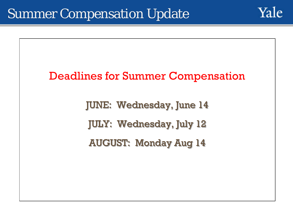

# Deadlines for Summer Compensation JUNE: Wednesday, June 14 JULY: Wednesday, July 12 AUGUST: Monday Aug 14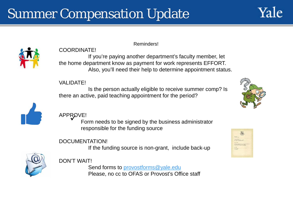



### COORDINATE!

Reminders!

If you're paying another department's faculty member, let the home department know as payment for work represents EFFORT. Also, you'll need their help to determine appointment status.

### VALIDATE!

Is the person actually eligible to receive summer comp? Is there an active, paid teaching appointment for the period?





APPROVE! Form needs to be signed by the business administrator responsible for the funding source

### DOCUMENTATION!

If the funding source is non-grant, include back-up



### DON'T WAIT!

Send forms to [provostforms@yale.edu](mailto:provostforms@yale.edu) Please, no cc to OFAS or Provost's Office staff

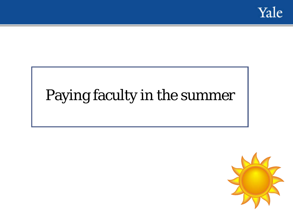

# Paying faculty in the summer

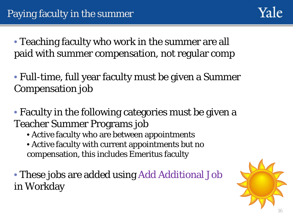• Teaching faculty who work in the summer are all paid with summer compensation, not regular comp

• Full-time, full year faculty must be given a Summer Compensation job

• Faculty in the following categories must be given a Teacher Summer Programs job

- Active faculty who are between appointments
- Active faculty with current appointments but no compensation, this includes Emeritus faculty

• These jobs are added using Add Additional Job in Workday

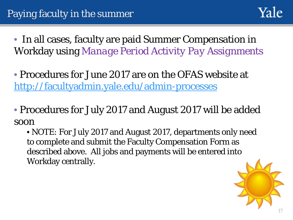

• In all cases, faculty are paid Summer Compensation in Workday using *Manage Period Activity Pay Assignments*

• Procedures for June 2017 are on the OFAS website at <http://facultyadmin.yale.edu/admin-processes>

• Procedures for July 2017 and August 2017 will be added soon

• NOTE: For July 2017 and August 2017, departments only need to complete and submit the Faculty Compensation Form as described above. All jobs and payments will be entered into Workday centrally.

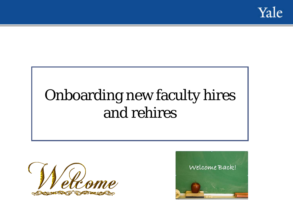

# Onboarding new faculty hires and rehires



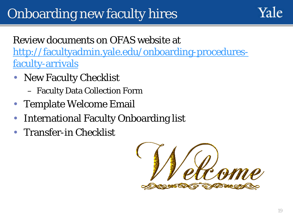### Review documents on OFAS website at [http://facultyadmin.yale.edu/onboarding-procedures](http://facultyadmin.yale.edu/onboarding-procedures-faculty-arrivals)faculty-arrivals

- New Faculty Checklist
	- Faculty Data Collection Form
- Template Welcome Email
- International Faculty Onboarding list
- Transfer-in Checklist

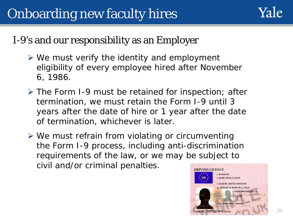### I-9's and our responsibility as an Employer

- $\triangleright$  We must verify the identity and employment eligibility of every employee hired after November 6, 1986.
- The Form I-9 must be retained for inspection; after termination, we must retain the Form I-9 until 3 years after the date of hire or 1 year after the date of termination, whichever is later.
- $\triangleright$  We must refrain from violating or circumventing the Form I-9 process, including anti-discrimination requirements of the law, or we may be subject to civil and/or criminal penalties.

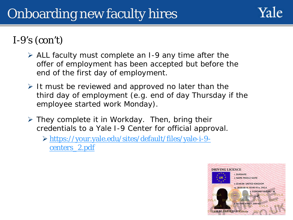

### I-9's  $(con't)$

- $\triangleright$  ALL faculty must complete an I-9 any time after the offer of employment has been accepted but before the end of the first day of employment.
- $\triangleright$  It must be reviewed and approved no later than the third day of employment (e.g. end of day Thursday if the employee started work Monday).
- $\triangleright$  They complete it in Workday. Then, bring their credentials to a Yale I-9 Center for official approval.
	- [https://your.yale.edu/sites/default/files/yale-i-9](https://your.yale.edu/sites/default/files/yale-i-9-centers_2.pdf) centers\_2.pdf

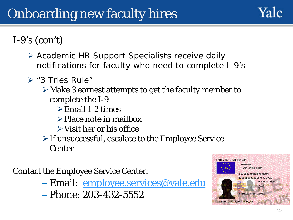

- Academic HR Support Specialists receive daily notifications for faculty who need to complete I-9's
- $\triangleright$  "3 Tries Rule"
	- Make 3 earnest attempts to get the faculty member to complete the I-9
		- $\triangleright$  Email 1-2 times
		- $\triangleright$  Place note in mailbox
		- $\triangleright$  Visit her or his office
	- $\triangleright$  If unsuccessful, escalate to the Employee Service **Center**

Contact the Employee Service Center:

- Email: [employee.services@yale.edu](mailto:employee.services@yale.edu)
- Phone: 203-432-5552

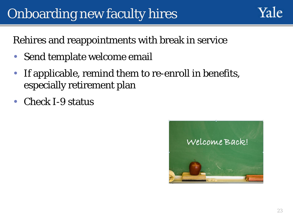Yale

Rehires and reappointments with break in service

- Send template welcome email
- If applicable, remind them to re-enroll in benefits, especially retirement plan
- Check I-9 status

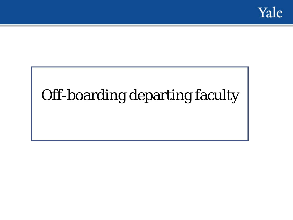

# Off-boarding departing faculty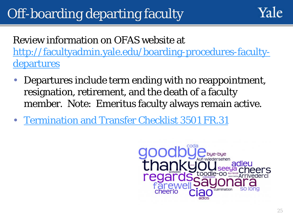# Off-boarding departing faculty

Review information on OFAS website at [http://facultyadmin.yale.edu/boarding-procedures-faculty](http://facultyadmin.yale.edu/boarding-procedures-faculty-departures)departures

- Departures include term ending with no reappointment, resignation, retirement, and the death of a faculty member. Note: Emeritus faculty always remain active.
- [Termination and Transfer Checklist 3501 FR.31](https://your.yale.edu/policies-procedures/forms/3501-fr31-termination-and-transfer-checklist)

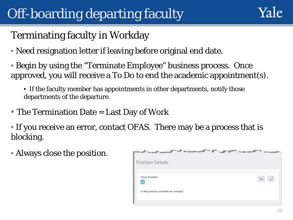# Off-boarding departing faculty



### Terminating faculty in Workday

- Need resignation letter if leaving before original end date.
- Begin by using the "Terminate Employee" business process. Once approved, you will receive a To Do to end the academic appointment(s).
	- If the faculty member has appointments in other departments, notify those departments of the departure.
- The Termination Date = Last Day of Work
- If you receive an error, contact OFAS. There may be a process that is blocking.
- Always close the position.

| <b>Position Details</b>                 |  |
|-----------------------------------------|--|
| <b>Close Position</b>                   |  |
| Is this position available for overlap? |  |
|                                         |  |